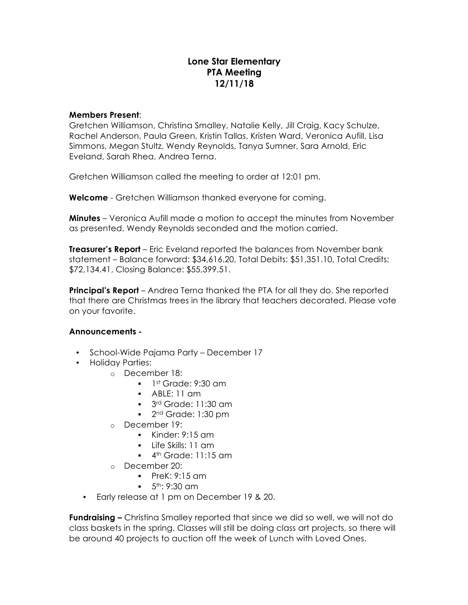## **Lone Star Elementary PTA Meeting 12/11/18**

## **Members Present**:

Gretchen Williamson, Christina Smalley, Natalie Kelly, Jill Craig, Kacy Schulze, Rachel Anderson, Paula Green, Kristin Tallas, Kristen Ward, Veronica Aufill, Lisa Simmons, Megan Stultz, Wendy Reynolds, Tanya Sumner, Sara Arnold, Eric Eveland, Sarah Rhea, Andrea Terna.

Gretchen Williamson called the meeting to order at 12:01 pm.

**Welcome** - Gretchen Williamson thanked everyone for coming.

**Minutes** – Veronica Aufill made a motion to accept the minutes from November as presented. Wendy Reynolds seconded and the motion carried.

**Treasurer's Report** – Eric Eveland reported the balances from November bank statement – Balance forward: \$34,616.20, Total Debits: \$51,351.10, Total Credits: \$72,134.41, Closing Balance: \$55,399.51.

**Principal's Report** – Andrea Terna thanked the PTA for all they do. She reported that there are Christmas trees in the library that teachers decorated. Please vote on your favorite.

## **Announcements -**

- School-Wide Pajama Party December 17
- Holiday Parties:
	- o December 18:
		- $\blacksquare$  1st Grade: 9:30 am
		- $\blacksquare$  ABLE: 11 am
		- 3<sup>rd</sup> Grade: 11:30 am
		- 2<sup>nd</sup> Grade: 1:30 pm
	- o December 19:
		- $\blacksquare$  Kinder: 9:15 am
		- § Life Skills: 11 am
		- $\blacksquare$  4<sup>th</sup> Grade: 11:15 am
	- o December 20:
		- § PreK: 9:15 am
		- $= 5<sup>th</sup>: 9:30 cm$
	- Early release at 1 pm on December 19 & 20.

**Fundraising –** Christina Smalley reported that since we did so well, we will not do class baskets in the spring. Classes will still be doing class art projects, so there will be around 40 projects to auction off the week of Lunch with Loved Ones.